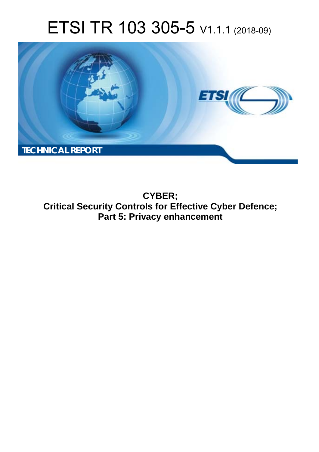# ETSI TR 103 305-5 V1.1.1 (2018-09)



**CYBER; Critical Security Controls for Effective Cyber Defence; Part 5: Privacy enhancement**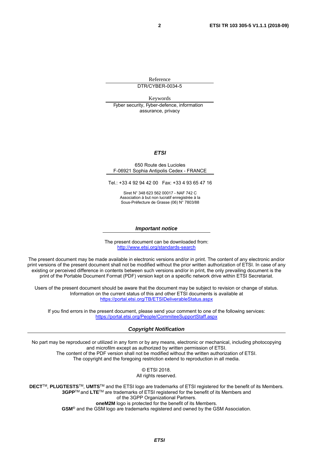Reference DTR/CYBER-0034-5

Keywords

& yber security, & yber-defence, information assurance, privacy

#### *ETSI*

#### 650 Route des Lucioles F-06921 Sophia Antipolis Cedex - FRANCE

Tel.: +33 4 92 94 42 00 Fax: +33 4 93 65 47 16

Siret N° 348 623 562 00017 - NAF 742 C Association à but non lucratif enregistrée à la Sous-Préfecture de Grasse (06) N° 7803/88

#### *Important notice*

The present document can be downloaded from: <http://www.etsi.org/standards-search>

The present document may be made available in electronic versions and/or in print. The content of any electronic and/or print versions of the present document shall not be modified without the prior written authorization of ETSI. In case of any existing or perceived difference in contents between such versions and/or in print, the only prevailing document is the print of the Portable Document Format (PDF) version kept on a specific network drive within ETSI Secretariat.

Users of the present document should be aware that the document may be subject to revision or change of status. Information on the current status of this and other ETSI documents is available at <https://portal.etsi.org/TB/ETSIDeliverableStatus.aspx>

If you find errors in the present document, please send your comment to one of the following services: <https://portal.etsi.org/People/CommiteeSupportStaff.aspx>

#### *Copyright Notification*

No part may be reproduced or utilized in any form or by any means, electronic or mechanical, including photocopying and microfilm except as authorized by written permission of ETSI. The content of the PDF version shall not be modified without the written authorization of ETSI. The copyright and the foregoing restriction extend to reproduction in all media.

> © ETSI 2018. All rights reserved.

**DECT**TM, **PLUGTESTS**TM, **UMTS**TM and the ETSI logo are trademarks of ETSI registered for the benefit of its Members. **3GPP**TM and **LTE**TM are trademarks of ETSI registered for the benefit of its Members and of the 3GPP Organizational Partners. **oneM2M** logo is protected for the benefit of its Members.

**GSM**® and the GSM logo are trademarks registered and owned by the GSM Association.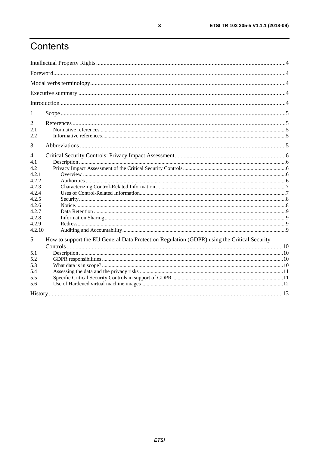## Contents

| 1          |                                                                                             |  |
|------------|---------------------------------------------------------------------------------------------|--|
| 2          |                                                                                             |  |
| 2.1        |                                                                                             |  |
| 2.2        |                                                                                             |  |
| 3          |                                                                                             |  |
| 4          |                                                                                             |  |
| 4.1<br>4.2 |                                                                                             |  |
| 4.2.1      |                                                                                             |  |
| 4.2.2      |                                                                                             |  |
| 4.2.3      |                                                                                             |  |
| 4.2.4      |                                                                                             |  |
| 4.2.5      |                                                                                             |  |
| 4.2.6      |                                                                                             |  |
| 4.2.7      |                                                                                             |  |
| 4.2.8      |                                                                                             |  |
| 4.2.9      |                                                                                             |  |
| 4.2.10     |                                                                                             |  |
| 5          | How to support the EU General Data Protection Regulation (GDPR) using the Critical Security |  |
|            |                                                                                             |  |
| 5.1        |                                                                                             |  |
| 5.2        |                                                                                             |  |
| 5.3        |                                                                                             |  |
| 5.4        |                                                                                             |  |
| 5.5        |                                                                                             |  |
| 5.6        |                                                                                             |  |
|            |                                                                                             |  |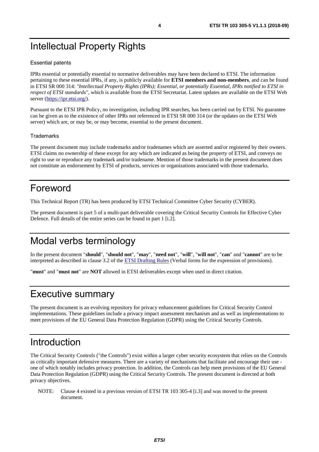## <span id="page-3-0"></span>Intellectual Property Rights

#### Essential patents

IPRs essential or potentially essential to normative deliverables may have been declared to ETSI. The information pertaining to these essential IPRs, if any, is publicly available for **ETSI members and non-members**, and can be found in ETSI SR 000 314: *"Intellectual Property Rights (IPRs); Essential, or potentially Essential, IPRs notified to ETSI in respect of ETSI standards"*, which is available from the ETSI Secretariat. Latest updates are available on the ETSI Web server (<https://ipr.etsi.org/>).

Pursuant to the ETSI IPR Policy, no investigation, including IPR searches, has been carried out by ETSI. No guarantee can be given as to the existence of other IPRs not referenced in ETSI SR 000 314 (or the updates on the ETSI Web server) which are, or may be, or may become, essential to the present document.

#### **Trademarks**

The present document may include trademarks and/or tradenames which are asserted and/or registered by their owners. ETSI claims no ownership of these except for any which are indicated as being the property of ETSI, and conveys no right to use or reproduce any trademark and/or tradename. Mention of those trademarks in the present document does not constitute an endorsement by ETSI of products, services or organizations associated with those trademarks.

## Foreword

This Technical Report (TR) has been produced by ETSI Technical Committee Cyber Security (CYBER).

The present document is part 5 of a multi-part deliverable covering the Critical Security Controls for Effective Cyber Defence. Full details of the entire series can be found in part 1 [\[i.2\]](#page-4-0).

## Modal verbs terminology

In the present document "**should**", "**should not**", "**may**", "**need not**", "**will**", "**will not**", "**can**" and "**cannot**" are to be interpreted as described in clause 3.2 of the [ETSI Drafting Rules](https://portal.etsi.org/Services/editHelp!/Howtostart/ETSIDraftingRules.aspx) (Verbal forms for the expression of provisions).

"**must**" and "**must not**" are **NOT** allowed in ETSI deliverables except when used in direct citation.

## Executive summary

The present document is an evolving repository for privacy enhancement guidelines for Critical Security Control implementations. These guidelines include a privacy impact assessment mechanism and as well as implementations to meet provisions of the EU General Data Protection Regulation (GDPR) using the Critical Security Controls.

## Introduction

The Critical Security Controls ("the Controls") exist within a larger cyber security ecosystem that relies on the Controls as critically important defensive measures. There are a variety of mechanisms that facilitate and encourage their use one of which notably includes privacy protection. In addition, the Controls can help meet provisions of the EU General Data Protection Regulation (GDPR) using the Critical Security Controls. The present document is directed at both privacy objectives.

NOTE: Clause 4 existed in a previous version of ETSI TR 103 305-4 [[i.3](#page-4-0)] and was moved to the present document.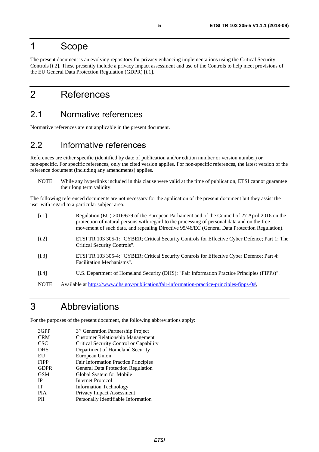## <span id="page-4-0"></span>1 Scope

The present document is an evolving repository for privacy enhancing implementations using the Critical Security Controls [i.2]. These presently include a privacy impact assessment and use of the Controls to help meet provisions of the EU General Data Protection Regulation (GDPR) [i.1].

## 2 References

### 2.1 Normative references

Normative references are not applicable in the present document.

### 2.2 Informative references

References are either specific (identified by date of publication and/or edition number or version number) or non-specific. For specific references, only the cited version applies. For non-specific references, the latest version of the reference document (including any amendments) applies.

NOTE: While any hyperlinks included in this clause were valid at the time of publication, ETSI cannot guarantee their long term validity.

The following referenced documents are not necessary for the application of the present document but they assist the user with regard to a particular subject area.

| [i.1]               | Regulation (EU) 2016/679 of the European Parliament and of the Council of 27 April 2016 on the<br>protection of natural persons with regard to the processing of personal data and on the free<br>movement of such data, and repealing Directive 95/46/EC (General Data Protection Regulation). |
|---------------------|-------------------------------------------------------------------------------------------------------------------------------------------------------------------------------------------------------------------------------------------------------------------------------------------------|
| $\lceil 1.2 \rceil$ | ETSI TR 103 305-1: "CYBER; Critical Security Controls for Effective Cyber Defence; Part 1: The<br>Critical Security Controls".                                                                                                                                                                  |
| [i.3]               | ETSI TR 103 305-4: "CYBER; Critical Security Controls for Effective Cyber Defence; Part 4:<br>Facilitation Mechanisms".                                                                                                                                                                         |
| [i.4]               | U.S. Department of Homeland Security (DHS): "Fair Information Practice Principles (FIPPs)".                                                                                                                                                                                                     |
| NOTE:               | Available at https://www.dhs.gov/publication/fair-information-practice-principles-fipps-0#.                                                                                                                                                                                                     |

## 3 Abbreviations

For the purposes of the present document, the following abbreviations apply:

| 3 <sup>rd</sup> Generation Partnership Project |
|------------------------------------------------|
| <b>Customer Relationship Management</b>        |
| Critical Security Control or Capability        |
| Department of Homeland Security                |
| European Union                                 |
| Fair Information Practice Principles           |
| <b>General Data Protection Regulation</b>      |
| Global System for Mobile                       |
| <b>Internet Protocol</b>                       |
| <b>Information Technology</b>                  |
| Privacy Impact Assessment                      |
| Personally Identifiable Information            |
|                                                |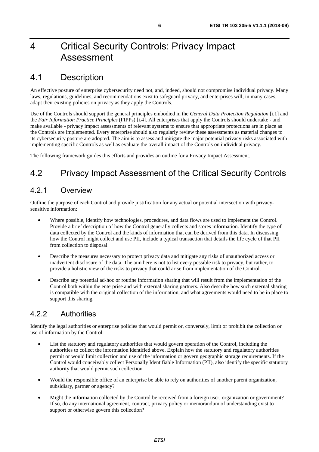## <span id="page-5-0"></span>4 Critical Security Controls: Privacy Impact Assessment

## 4.1 Description

An effective posture of enterprise cybersecurity need not, and, indeed, should not compromise individual privacy. Many laws, regulations, guidelines, and recommendations exist to safeguard privacy, and enterprises will, in many cases, adapt their existing policies on privacy as they apply the Controls.

Use of the Controls should support the general principles embodied in the *General Data Protection Regulation* [[i.1\]](#page-4-0) and the *Fair Information Practice Principles* (FIPPs) [\[i.4](#page-4-0)]. All enterprises that apply the Controls should undertake - and make available - privacy impact assessments of relevant systems to ensure that appropriate protections are in place as the Controls are implemented. Every enterprise should also regularly review these assessments as material changes to its cybersecurity posture are adopted. The aim is to assess and mitigate the major potential privacy risks associated with implementing specific Controls as well as evaluate the overall impact of the Controls on individual privacy.

The following framework guides this efforts and provides an outline for a Privacy Impact Assessment.

## 4.2 Privacy Impact Assessment of the Critical Security Controls

#### 4.2.1 Overview

Outline the purpose of each Control and provide justification for any actual or potential intersection with privacysensitive information:

- Where possible, identify how technologies, procedures, and data flows are used to implement the Control. Provide a brief description of how the Control generally collects and stores information. Identify the type of data collected by the Control and the kinds of information that can be derived from this data. In discussing how the Control might collect and use PII, include a typical transaction that details the life cycle of that PII from collection to disposal.
- Describe the measures necessary to protect privacy data and mitigate any risks of unauthorized access or inadvertent disclosure of the data. The aim here is not to list every possible risk to privacy, but rather, to provide a holistic view of the risks to privacy that could arise from implementation of the Control.
- Describe any potential ad-hoc or routine information sharing that will result from the implementation of the Control both within the enterprise and with external sharing partners. Also describe how such external sharing is compatible with the original collection of the information, and what agreements would need to be in place to support this sharing.

#### 4.2.2 Authorities

Identify the legal authorities or enterprise policies that would permit or, conversely, limit or prohibit the collection or use of information by the Control:

- List the statutory and regulatory authorities that would govern operation of the Control, including the authorities to collect the information identified above. Explain how the statutory and regulatory authorities permit or would limit collection and use of the information or govern geographic storage requirements. If the Control would conceivably collect Personally Identifiable Information (PII), also identify the specific statutory authority that would permit such collection.
- Would the responsible office of an enterprise be able to rely on authorities of another parent organization, subsidiary, partner or agency?
- Might the information collected by the Control be received from a foreign user, organization or government? If so, do any international agreement, contract, privacy policy or memorandum of understanding exist to support or otherwise govern this collection?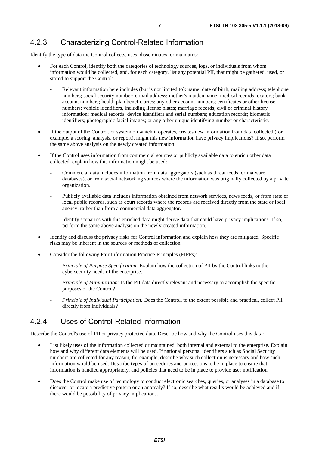#### <span id="page-6-0"></span>4.2.3 Characterizing Control-Related Information

Identify the type of data the Control collects, uses, disseminates, or maintains:

- For each Control, identify both the categories of technology sources, logs, or individuals from whom information would be collected, and, for each category, list any potential PII, that might be gathered, used, or stored to support the Control:
	- Relevant information here includes (but is not limited to): name; date of birth; mailing address; telephone numbers; social security number; e-mail address; mother's maiden name; medical records locators; bank account numbers; health plan beneficiaries; any other account numbers; certificates or other license numbers; vehicle identifiers, including license plates; marriage records; civil or criminal history information; medical records; device identifiers and serial numbers; education records; biometric identifiers; photographic facial images; or any other unique identifying number or characteristic.
- If the output of the Control, or system on which it operates, creates new information from data collected (for example, a scoring, analysis, or report), might this new information have privacy implications? If so, perform the same above analysis on the newly created information.
- If the Control uses information from commercial sources or publicly available data to enrich other data collected, explain how this information might be used:
	- Commercial data includes information from data aggregators (such as threat feeds, or malware databases), or from social networking sources where the information was originally collected by a private organization.
	- Publicly available data includes information obtained from network services, news feeds, or from state or local public records, such as court records where the records are received directly from the state or local agency, rather than from a commercial data aggregator.
	- Identify scenarios with this enriched data might derive data that could have privacy implications. If so, perform the same above analysis on the newly created information.
- Identify and discuss the privacy risks for Control information and explain how they are mitigated. Specific risks may be inherent in the sources or methods of collection.
- Consider the following Fair Information Practice Principles (FIPPs):
	- *Principle of Purpose Specification:* Explain how the collection of PII by the Control links to the cybersecurity needs of the enterprise.
	- *Principle of Minimization:* Is the PII data directly relevant and necessary to accomplish the specific purposes of the Control?
	- *Principle of Individual Participation:* Does the Control, to the extent possible and practical, collect PII directly from individuals?

#### 4.2.4 Uses of Control-Related Information

Describe the Control's use of PII or privacy protected data. Describe how and why the Control uses this data:

- List likely uses of the information collected or maintained, both internal and external to the enterprise. Explain how and why different data elements will be used. If national personal identifiers such as Social Security numbers are collected for any reason, for example, describe why such collection is necessary and how such information would be used. Describe types of procedures and protections to be in place to ensure that information is handled appropriately, and policies that need to be in place to provide user notification.
- Does the Control make use of technology to conduct electronic searches, queries, or analyses in a database to discover or locate a predictive pattern or an anomaly? If so, describe what results would be achieved and if there would be possibility of privacy implications.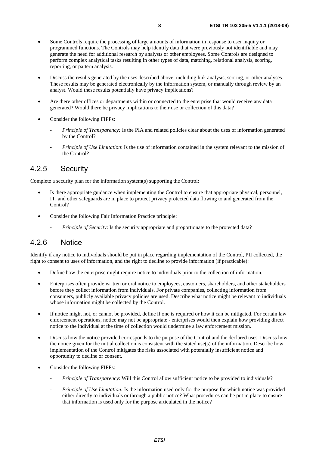- <span id="page-7-0"></span>• Some Controls require the processing of large amounts of information in response to user inquiry or programmed functions. The Controls may help identify data that were previously not identifiable and may generate the need for additional research by analysts or other employees. Some Controls are designed to perform complex analytical tasks resulting in other types of data, matching, relational analysis, scoring, reporting, or pattern analysis.
- Discuss the results generated by the uses described above, including link analysis, scoring, or other analyses. These results may be generated electronically by the information system, or manually through review by an analyst. Would these results potentially have privacy implications?
- Are there other offices or departments within or connected to the enterprise that would receive any data generated? Would there be privacy implications to their use or collection of this data?
- Consider the following FIPPs:
	- *Principle of Transparency:* Is the PIA and related policies clear about the uses of information generated by the Control?
	- *Principle of Use Limitation*: Is the use of information contained in the system relevant to the mission of the Control?

#### 4.2.5 Security

Complete a security plan for the information system(s) supporting the Control:

- Is there appropriate guidance when implementing the Control to ensure that appropriate physical, personnel, IT, and other safeguards are in place to protect privacy protected data flowing to and generated from the Control?
- Consider the following Fair Information Practice principle:
	- *Principle of Security*: Is the security appropriate and proportionate to the protected data?

#### 4.2.6 Notice

Identify if any notice to individuals should be put in place regarding implementation of the Control, PII collected, the right to consent to uses of information, and the right to decline to provide information (if practicable):

- Define how the enterprise might require notice to individuals prior to the collection of information.
- Enterprises often provide written or oral notice to employees, customers, shareholders, and other stakeholders before they collect information from individuals. For private companies, collecting information from consumers, publicly available privacy policies are used. Describe what notice might be relevant to individuals whose information might be collected by the Control.
- If notice might not, or cannot be provided, define if one is required or how it can be mitigated. For certain law enforcement operations, notice may not be appropriate - enterprises would then explain how providing direct notice to the individual at the time of collection would undermine a law enforcement mission.
- Discuss how the notice provided corresponds to the purpose of the Control and the declared uses. Discuss how the notice given for the initial collection is consistent with the stated use(s) of the information. Describe how implementation of the Control mitigates the risks associated with potentially insufficient notice and opportunity to decline or consent.
- Consider the following FIPPs:
	- *Principle of Transparency*: Will this Control allow sufficient notice to be provided to individuals?
	- *Principle of Use Limitation:* Is the information used only for the purpose for which notice was provided either directly to individuals or through a public notice? What procedures can be put in place to ensure that information is used only for the purpose articulated in the notice?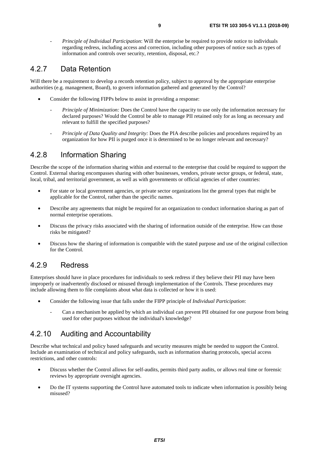<span id="page-8-0"></span>- *Principle of Individual Participation*: Will the enterprise be required to provide notice to individuals regarding redress, including access and correction, including other purposes of notice such as types of information and controls over security, retention, disposal, etc.?

#### 4.2.7 Data Retention

Will there be a requirement to develop a records retention policy, subject to approval by the appropriate enterprise authorities (e.g. management, Board), to govern information gathered and generated by the Control?

- Consider the following FIPPs below to assist in providing a response:
	- *Principle of Minimization:* Does the Control have the capacity to use only the information necessary for declared purposes? Would the Control be able to manage PII retained only for as long as necessary and relevant to fulfill the specified purposes?
	- *Principle of Data Quality and Integrity:* Does the PIA describe policies and procedures required by an organization for how PII is purged once it is determined to be no longer relevant and necessary?

#### 4.2.8 Information Sharing

Describe the scope of the information sharing within and external to the enterprise that could be required to support the Control. External sharing encompasses sharing with other businesses, vendors, private sector groups, or federal, state, local, tribal, and territorial government, as well as with governments or official agencies of other countries:

- For state or local government agencies, or private sector organizations list the general types that might be applicable for the Control, rather than the specific names.
- Describe any agreements that might be required for an organization to conduct information sharing as part of normal enterprise operations.
- Discuss the privacy risks associated with the sharing of information outside of the enterprise. How can those risks be mitigated?
- Discuss how the sharing of information is compatible with the stated purpose and use of the original collection for the Control.

#### 4.2.9 Redress

Enterprises should have in place procedures for individuals to seek redress if they believe their PII may have been improperly or inadvertently disclosed or misused through implementation of the Controls. These procedures may include allowing them to file complaints about what data is collected or how it is used:

- Consider the following issue that falls under the FIPP principle of *Individual Participation*:
	- Can a mechanism be applied by which an individual can prevent PII obtained for one purpose from being used for other purposes without the individual's knowledge?

#### 4.2.10 Auditing and Accountability

Describe what technical and policy based safeguards and security measures might be needed to support the Control. Include an examination of technical and policy safeguards, such as information sharing protocols, special access restrictions, and other controls:

- Discuss whether the Control allows for self-audits, permits third party audits, or allows real time or forensic reviews by appropriate oversight agencies.
- Do the IT systems supporting the Control have automated tools to indicate when information is possibly being misused?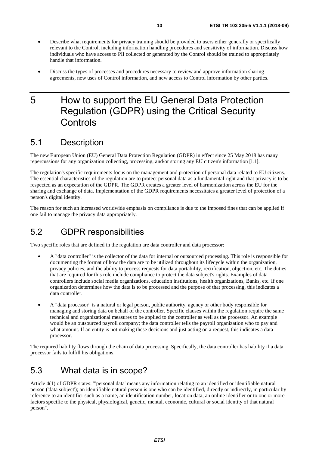- <span id="page-9-0"></span>• Describe what requirements for privacy training should be provided to users either generally or specifically relevant to the Control, including information handling procedures and sensitivity of information. Discuss how individuals who have access to PII collected or generated by the Control should be trained to appropriately handle that information.
- Discuss the types of processes and procedures necessary to review and approve information sharing agreements, new uses of Control information, and new access to Control information by other parties.

## 5 How to support the EU General Data Protection Regulation (GDPR) using the Critical Security **Controls**

### 5.1 Description

The new European Union (EU) General Data Protection Regulation (GDPR) in effect since 25 May 2018 has many repercussions for any organization collecting, processing, and/or storing any EU citizen's information [\[i.1](#page-4-0)].

The regulation's specific requirements focus on the management and protection of personal data related to EU citizens. The essential characteristics of the regulation are to protect personal data as a fundamental right and that privacy is to be respected as an expectation of the GDPR. The GDPR creates a greater level of harmonization across the EU for the sharing and exchange of data. Implementation of the GDPR requirements necessitates a greater level of protection of a person's digital identity.

The reason for such an increased worldwide emphasis on compliance is due to the imposed fines that can be applied if one fail to manage the privacy data appropriately.

#### 5.2 GDPR responsibilities

Two specific roles that are defined in the regulation are data controller and data processor:

- A "data controller" is the collector of the data for internal or outsourced processing. This role is responsible for documenting the format of how the data are to be utilized throughout its lifecycle within the organization, privacy policies, and the ability to process requests for data portability, rectification, objection, etc. The duties that are required for this role include compliance to protect the data subject's rights. Examples of data controllers include social media organizations, education institutions, health organizations, Banks, etc. If one organization determines how the data is to be processed and the purpose of that processing, this indicates a data controller.
- A "data processor" is a natural or legal person, public authority, agency or other body responsible for managing and storing data on behalf of the controller. Specific clauses within the regulation require the same technical and organizational measures to be applied to the controller as well as the processor. An example would be an outsourced payroll company; the data controller tells the payroll organization who to pay and what amount. If an entity is not making these decisions and just acting on a request, this indicates a data processor.

The required liability flows through the chain of data processing. Specifically, the data controller has liability if a data processor fails to fulfill his obligations.

### 5.3 What data is in scope?

Article 4(1) of GDPR states: "'personal data' means any information relating to an identified or identifiable natural person ('data subject'); an identifiable natural person is one who can be identified, directly or indirectly, in particular by reference to an identifier such as a name, an identification number, location data, an online identifier or to one or more factors specific to the physical, physiological, genetic, mental, economic, cultural or social identity of that natural person".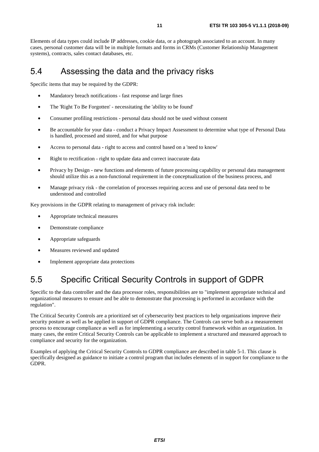<span id="page-10-0"></span>Elements of data types could include IP addresses, cookie data, or a photograph associated to an account. In many cases, personal customer data will be in multiple formats and forms in CRMs (Customer Relationship Management systems), contracts, sales contact databases, etc.

### 5.4 Assessing the data and the privacy risks

Specific items that may be required by the GDPR:

- Mandatory breach notifications fast response and large fines
- The 'Right To Be Forgotten' necessitating the 'ability to be found'
- Consumer profiling restrictions personal data should not be used without consent
- Be accountable for your data conduct a Privacy Impact Assessment to determine what type of Personal Data is handled, processed and stored, and for what purpose
- Access to personal data right to access and control based on a 'need to know'
- Right to rectification right to update data and correct inaccurate data
- Privacy by Design new functions and elements of future processing capability or personal data management should utilize this as a non-functional requirement in the conceptualization of the business process, and
- Manage privacy risk the correlation of processes requiring access and use of personal data need to be understood and controlled

Key provisions in the GDPR relating to management of privacy risk include:

- Appropriate technical measures
- Demonstrate compliance
- Appropriate safeguards
- Measures reviewed and updated
- Implement appropriate data protections

### 5.5 Specific Critical Security Controls in support of GDPR

Specific to the data controller and the data processor roles, responsibilities are to "implement appropriate technical and organizational measures to ensure and be able to demonstrate that processing is performed in accordance with the regulation".

The Critical Security Controls are a prioritized set of cybersecurity best practices to help organizations improve their security posture as well as be applied in support of GDPR compliance. The Controls can serve both as a measurement process to encourage compliance as well as for implementing a security control framework within an organization. In many cases, the entire Critical Security Controls can be applicable to implement a structured and measured approach to compliance and security for the organization.

Examples of applying the Critical Security Controls to GDPR compliance are described in table 5-1. This clause is specifically designed as guidance to initiate a control program that includes elements of in support for compliance to the GDPR.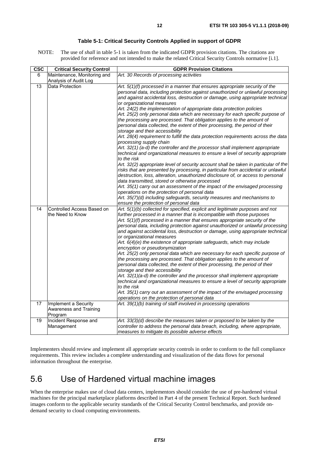<span id="page-11-0"></span>NOTE: The use of *shall* in table 5-1 is taken from the indicated GDPR provision citations. The citations are provided for reference and not intended to make the related Critical Security Controls normative [[i.1](#page-4-0)].

| csc             | <b>Critical Security Control</b>                          | <b>GDPR Provision Citations</b>                                                                                                                                                                                                                                                                                                                                                                                                                                                                                                                                                                                                                                                                                                                                                                                                                                                                                                                                                                                                                                                                                                                                                                                                                                                                                                                                                                  |
|-----------------|-----------------------------------------------------------|--------------------------------------------------------------------------------------------------------------------------------------------------------------------------------------------------------------------------------------------------------------------------------------------------------------------------------------------------------------------------------------------------------------------------------------------------------------------------------------------------------------------------------------------------------------------------------------------------------------------------------------------------------------------------------------------------------------------------------------------------------------------------------------------------------------------------------------------------------------------------------------------------------------------------------------------------------------------------------------------------------------------------------------------------------------------------------------------------------------------------------------------------------------------------------------------------------------------------------------------------------------------------------------------------------------------------------------------------------------------------------------------------|
| 6               | Maintenance, Monitoring and                               | Art. 30 Records of processing activities                                                                                                                                                                                                                                                                                                                                                                                                                                                                                                                                                                                                                                                                                                                                                                                                                                                                                                                                                                                                                                                                                                                                                                                                                                                                                                                                                         |
|                 | Analysis of Audit Log                                     |                                                                                                                                                                                                                                                                                                                                                                                                                                                                                                                                                                                                                                                                                                                                                                                                                                                                                                                                                                                                                                                                                                                                                                                                                                                                                                                                                                                                  |
| 13              | Data Protection                                           | Art. 5(1)(f) processed in a manner that ensures appropriate security of the<br>personal data, including protection against unauthorized or unlawful processing<br>and against accidental loss, destruction or damage, using appropriate technical<br>or organizational measures<br>Art. 24(2) the implementation of appropriate data protection policies<br>Art. 25(2) only personal data which are necessary for each specific purpose of<br>the processing are processed. That obligation applies to the amount of<br>personal data collected, the extent of their processing, the period of their<br>storage and their accessibility<br>Art. 28(4) requirement to fulfill the data protection requirements across the data<br>processing supply chain<br>Art. 32(1) (a-d) the controller and the processor shall implement appropriate<br>technical and organizational measures to ensure a level of security appropriate<br>to the risk<br>Art. 32(2) appropriate level of security account shall be taken in particular of the<br>risks that are presented by processing, in particular from accidental or unlawful<br>destruction, loss, alteration, unauthorized disclosure of, or access to personal<br>data transmitted, stored or otherwise processed<br>Art. 35(1) carry out an assessment of the impact of the envisaged processing<br>operations on the protection of personal data |
|                 |                                                           | Art. 35(7)(d) including safeguards, security measures and mechanisms to<br>ensure the protection of personal data                                                                                                                                                                                                                                                                                                                                                                                                                                                                                                                                                                                                                                                                                                                                                                                                                                                                                                                                                                                                                                                                                                                                                                                                                                                                                |
| 14              | Controlled Access Based on<br>the Need to Know            | Art. 5(1)(b) collected for specified, explicit and legitimate purposes and not<br>further processed in a manner that is incompatible with those purposes<br>Art. 5(1)(f) processed in a manner that ensures appropriate security of the<br>personal data, including protection against unauthorized or unlawful processing<br>and against accidental loss, destruction or damage, using appropriate technical<br>or organizational measures<br>Art. 6(4)(e) the existence of appropriate safeguards, which may include<br>encryption or pseudonymization<br>Art. 25(2) only personal data which are necessary for each specific purpose of<br>the processing are processed. That obligation applies to the amount of<br>personal data collected, the extent of their processing, the period of their<br>storage and their accessibility<br>Art. 32(1)(a-d) the controller and the processor shall implement appropriate<br>technical and organizational measures to ensure a level of security appropriate<br>to the risk<br>Art. 35(1) carry out an assessment of the impact of the envisaged processing<br>operations on the protection of personal data                                                                                                                                                                                                                                       |
| $\overline{17}$ | Implement a Security<br>Awareness and Training<br>Program | Art. 39(1)(b) training of staff involved in processing operations                                                                                                                                                                                                                                                                                                                                                                                                                                                                                                                                                                                                                                                                                                                                                                                                                                                                                                                                                                                                                                                                                                                                                                                                                                                                                                                                |
| 19              | Incident Response and<br>Management                       | Art. 33(3)(d) describe the measures taken or proposed to be taken by the<br>controller to address the personal data breach, including, where appropriate,<br>measures to mitigate its possible adverse effects                                                                                                                                                                                                                                                                                                                                                                                                                                                                                                                                                                                                                                                                                                                                                                                                                                                                                                                                                                                                                                                                                                                                                                                   |

Implementers should review and implement all appropriate security controls in order to conform to the full compliance requirements. This review includes a complete understanding and visualization of the data flows for personal information throughout the enterprise.

### 5.6 Use of Hardened virtual machine images

When the enterprise makes use of cloud data centers, implementors should consider the use of pre-hardened virtual machines for the principal marketplace platforms described in Part 4 of the present Technical Report. Such hardened images conform to the applicable security standards of the Critical Security Control benchmarks, and provide ondemand security to cloud computing environments.